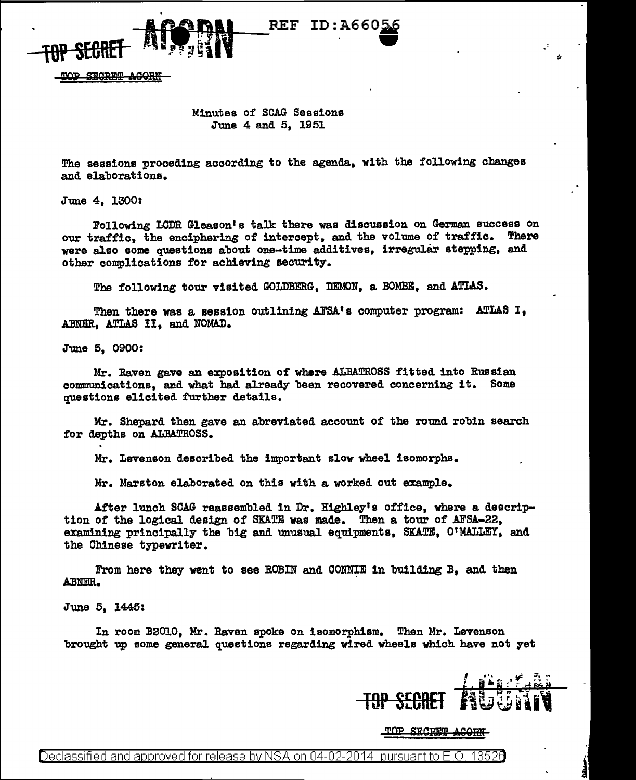

SECRET ACORM

## Minutes of SCAG Sessions June 4 and 5, 1951

REF

ID:A660

The sessions proceding according to the agenda, with the following changes and elaborations.

June 4, 13001

Following LCDR Gleason's talk there was discussion on German success on our traffic, the enciphering of intercept, and the volume of traffic. There were also some questions about one-time additives, irregular stepping, and other complications for achieving security.

The following tour visited GOLDBERG, DEMON, a EOMBE, and ATLAS.

Then there was a session outlining AFSA's computer program: ATLAS I, ABNER, ATLAS II, and NOMAD.

June 5, 0900:

Mr. Raven gave an exposition of where ALBATROSS fitted into Russian communications, and what had already been recovered concerning it. Some questions elicited further details.

Mr. Shepard then gave an abreviated account of the round robin search for depths on ALBATROSS.

Mr. Levenson described the important slow wheel isomorphs.

Mr. Marston elaborated on this with a worked out example.

After lunch SCAG reassembled in Dr. Highley's office, where a description of the logical design of SKATE was made. Then a tour of AFSA-22, examining principally the big and unusual equipments, SKATE, 01MALLEY, and the Chinese typewriter.

From here they went to see ROBIN and CONNIE in building B, and then Al3NER.

June 5, 1445:

In room B2010, Mr. Raven spoke on isomorphism. Then Mr. Levenson brought up some general questions regarding wired wheels which have not 7et

**T9P SECRH** 

TOP SECRET ACORN

Declassified and approved for release by NSA on 04-02-2014  $\,$  pursuant to E.O. 1352 $d$